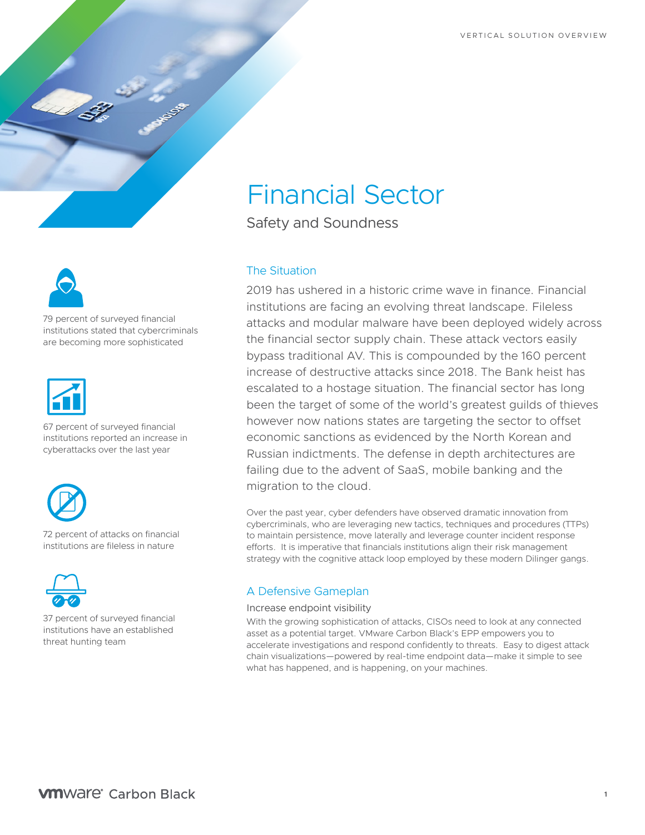

79 percent of surveyed financial institutions stated that cybercriminals are becoming more sophisticated



67 percent of surveyed financial institutions reported an increase in cyberattacks over the last year



72 percent of attacks on financial institutions are fileless in nature



37 percent of surveyed financial institutions have an established threat hunting team

# Financial Sector

Safety and Soundness

## The Situation

2019 has ushered in a historic crime wave in finance. Financial institutions are facing an evolving threat landscape. Fileless attacks and modular malware have been deployed widely across the financial sector supply chain. These attack vectors easily bypass traditional AV. This is compounded by the 160 percent increase of destructive attacks since 2018. The Bank heist has escalated to a hostage situation. The financial sector has long been the target of some of the world's greatest guilds of thieves however now nations states are targeting the sector to offset economic sanctions as evidenced by the North Korean and Russian indictments. The defense in depth architectures are failing due to the advent of SaaS, mobile banking and the migration to the cloud.

Over the past year, cyber defenders have observed dramatic innovation from cybercriminals, who are leveraging new tactics, techniques and procedures (TTPs) to maintain persistence, move laterally and leverage counter incident response efforts. It is imperative that financials institutions align their risk management strategy with the cognitive attack loop employed by these modern Dilinger gangs.

## A Defensive Gameplan

### Increase endpoint visibility

With the growing sophistication of attacks, CISOs need to look at any connected asset as a potential target. VMware Carbon Black's EPP empowers you to accelerate investigations and respond confidently to threats. Easy to digest attack chain visualizations—powered by real-time endpoint data—make it simple to see what has happened, and is happening, on your machines.